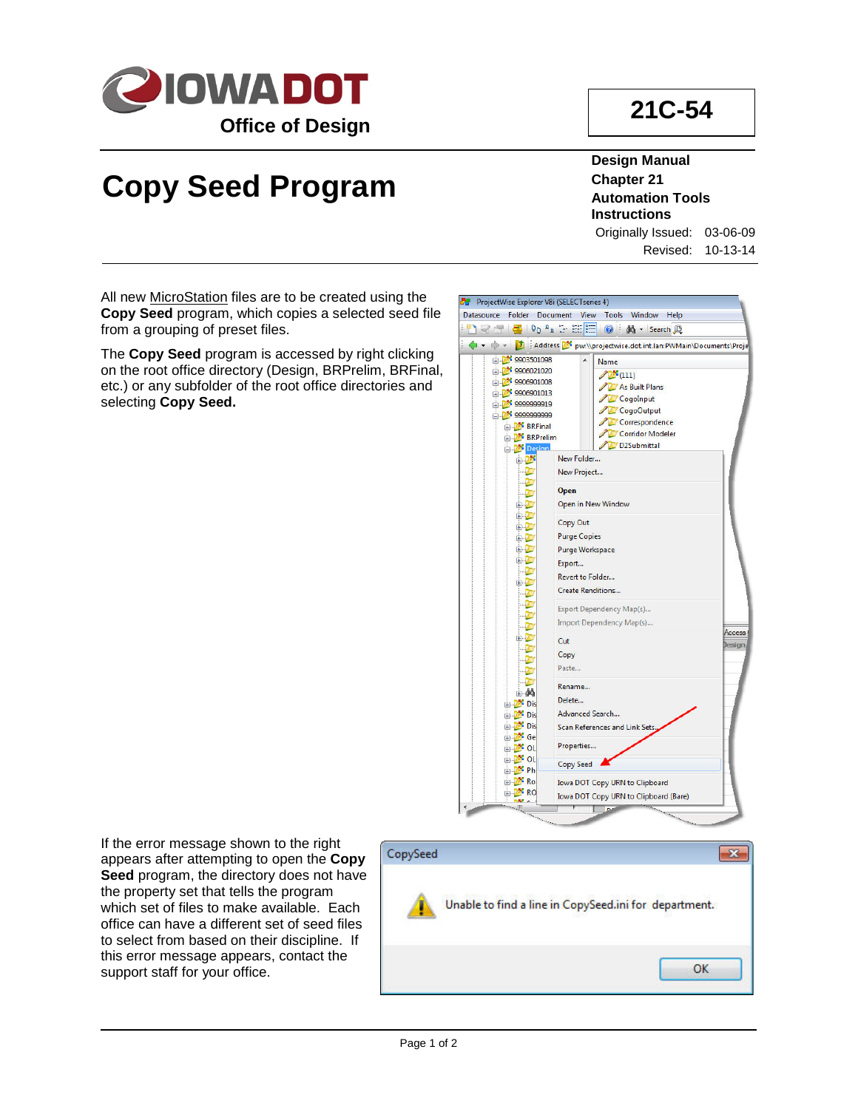

## **Copy Seed Program**

**Design Manual Chapter 21 Automation Tools Instructions**

Originally Issued: 03-06-09 Revised: 10-13-14

All new **MicroStation** files are to be created using the **Copy Seed** program, which copies a selected seed file from a grouping of preset files.

The **Copy Seed** program is accessed by right clicking on the root office directory (Design, BRPrelim, BRFinal, etc.) or any subfolder of the root office directories and selecting **Copy Seed.**



If the error message shown to the right appears after attempting to open the **Copy Seed** program, the directory does not have the property set that tells the program which set of files to make available. Each office can have a different set of seed files to select from based on their discipline. If this error message appears, contact the support staff for your office.

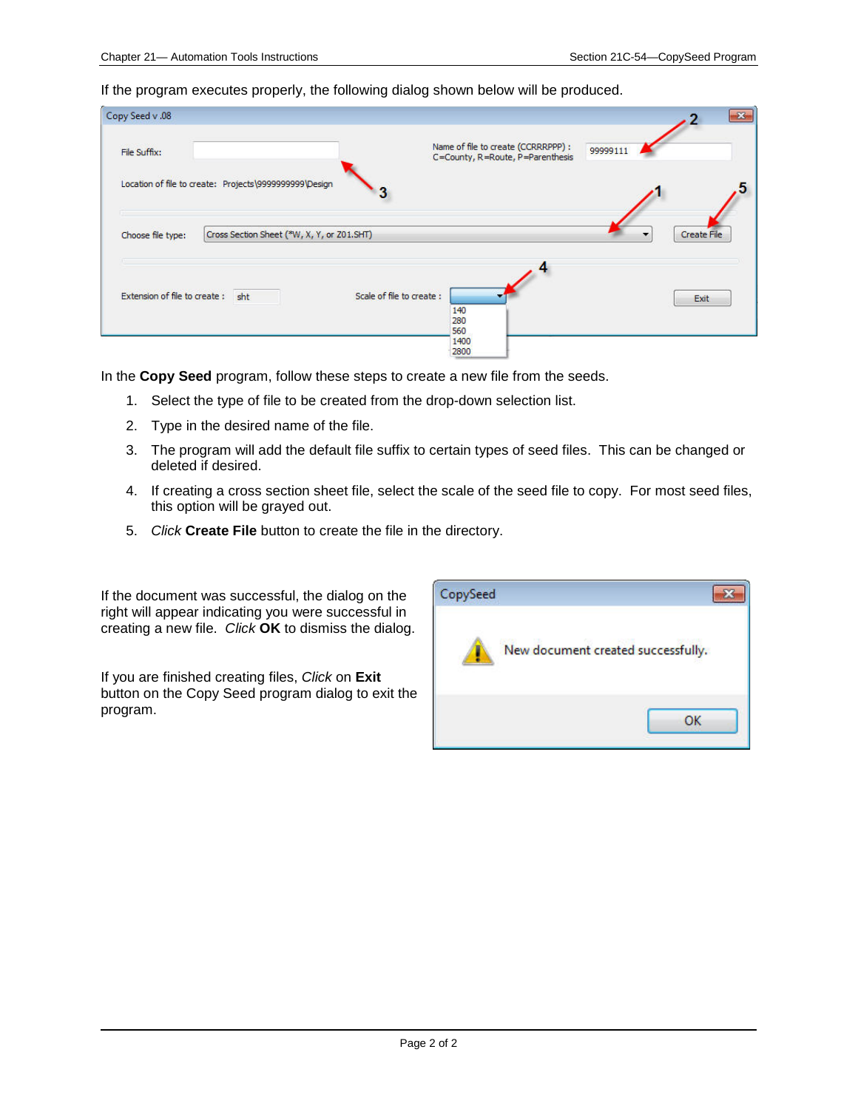If the program executes properly, the following dialog shown below will be produced.

| Copy Seed v .08              |                                                        |                           |                                                                         |          | $\mathbf{x}$ |
|------------------------------|--------------------------------------------------------|---------------------------|-------------------------------------------------------------------------|----------|--------------|
| File Suffix:                 |                                                        |                           | Name of file to create (CCRRRPPP) :<br>C=County, R=Route, P=Parenthesis | 99999111 |              |
|                              | Location of file to create: Projects\9999999999\Design |                           |                                                                         |          |              |
| Choose file type:            | Cross Section Sheet (*W, X, Y, or Z01.SHT)             |                           |                                                                         |          | Create File  |
| Extension of file to create: | sht                                                    | Scale of file to create : | 140<br>280<br>560                                                       |          | Exit         |
|                              |                                                        |                           | 1400<br>2800                                                            |          |              |

In the **Copy Seed** program, follow these steps to create a new file from the seeds.

- 1. Select the type of file to be created from the drop-down selection list.
- 2. Type in the desired name of the file.
- 3. The program will add the default file suffix to certain types of seed files. This can be changed or deleted if desired.
- 4. If creating a cross section sheet file, select the scale of the seed file to copy. For most seed files, this option will be grayed out.
- 5. *Click* **Create File** button to create the file in the directory.

If the document was successful, the dialog on the right will appear indicating you were successful in creating a new file. *Click* **OK** to dismiss the dialog.

If you are finished creating files, *Click* on **Exit** button on the Copy Seed program dialog to exit the program.